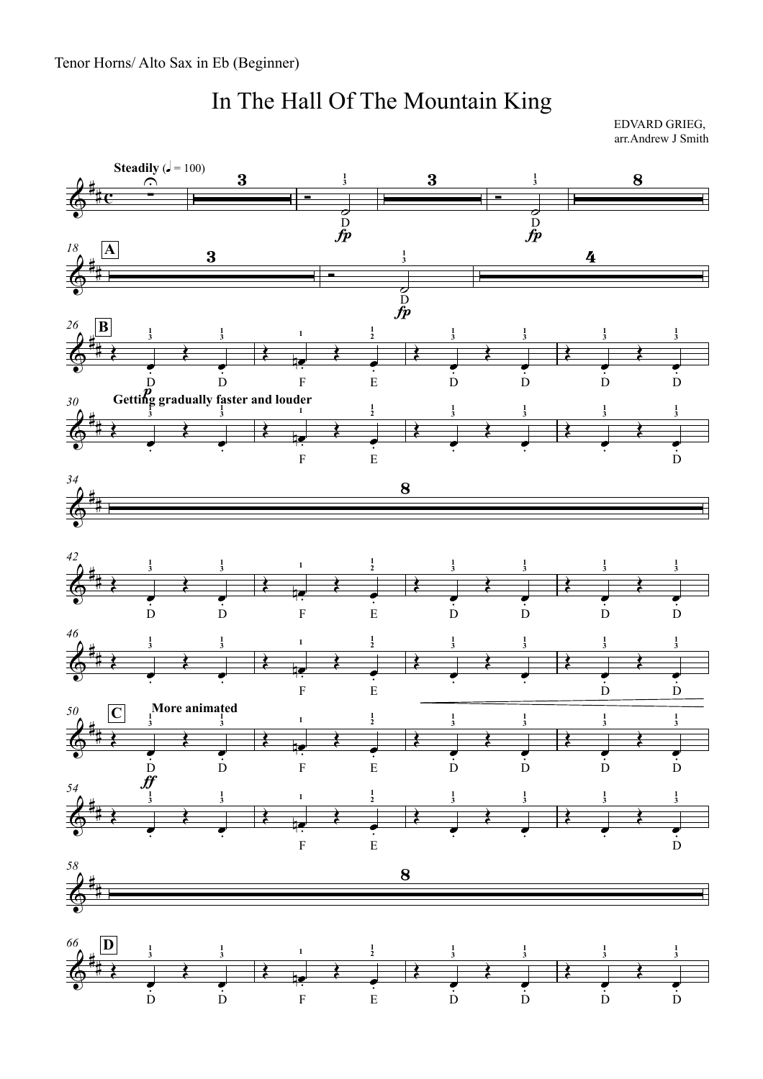## In The Hall Of The Mountain King

EDVARD GRIEG, arr.Andrew J Smith